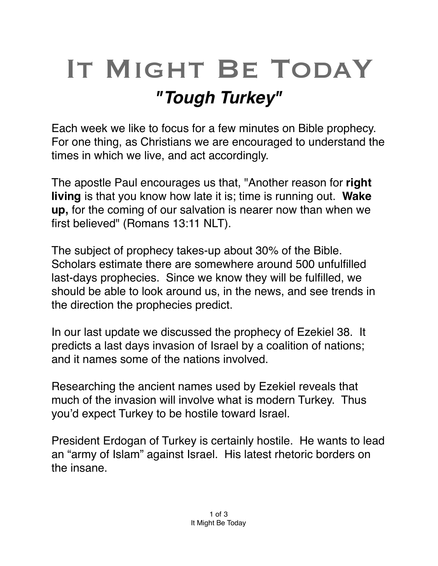## IT MIGHT BE TODAY *"Tough Turkey"*

Each week we like to focus for a few minutes on Bible prophecy. For one thing, as Christians we are encouraged to understand the times in which we live, and act accordingly.

The apostle Paul encourages us that, "Another reason for **right living** is that you know how late it is; time is running out. **Wake up,** for the coming of our salvation is nearer now than when we first believed" (Romans 13:11 NLT).

The subject of prophecy takes-up about 30% of the Bible. Scholars estimate there are somewhere around 500 unfulfilled last-days prophecies. Since we know they will be fulfilled, we should be able to look around us, in the news, and see trends in the direction the prophecies predict.

In our last update we discussed the prophecy of Ezekiel 38. It predicts a last days invasion of Israel by a coalition of nations; and it names some of the nations involved.

Researching the ancient names used by Ezekiel reveals that much of the invasion will involve what is modern Turkey. Thus you'd expect Turkey to be hostile toward Israel.

President Erdogan of Turkey is certainly hostile. He wants to lead an "army of Islam" against Israel. His latest rhetoric borders on the insane.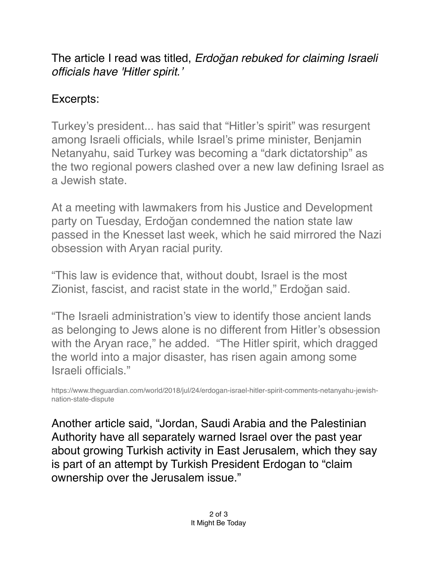The article I read was titled, *Erdo*ğ*an rebuked for claiming Israeli officials have 'Hitler spirit.'*

## Excerpts:

Turkey's president... has said that "Hitler's spirit" was resurgent among Israeli officials, while Israel's prime minister, Benjamin Netanyahu, said Turkey was becoming a "dark dictatorship" as the two regional powers clashed over a new law defining Israel as a Jewish state.

At a meeting with lawmakers from his Justice and Development party on Tuesday, Erdoğan condemned the [nation state law](https://www.theguardian.com/world/2018/jul/19/israel-adopts-controversial-jewish-nation-state-law)  [passed in the Knesset last week,](https://www.theguardian.com/world/2018/jul/19/israel-adopts-controversial-jewish-nation-state-law) which he said mirrored the Nazi obsession with Aryan racial purity.

"This law is evidence that, without doubt, [Israel](https://www.theguardian.com/world/israel) is the most Zionist, fascist, and racist state in the world," Erdoğan said.

"The Israeli administration's view to identify those ancient lands as belonging to Jews alone is no different from Hitler's obsession with the Aryan race," he added. "The Hitler spirit, which dragged the world into a major disaster, has risen again among some Israeli officials."

https://www.theguardian.com/world/2018/jul/24/erdogan-israel-hitler-spirit-comments-netanyahu-jewishnation-state-dispute

Another article said, "Jordan, Saudi Arabia and the Palestinian Authority have all separately warned Israel over the past year about growing Turkish activity in [East Jerusalem,](https://www.haaretz.com/misc/tags/east-jerusalem-1.5598917) which they say is part of an attempt by Turkish President Erdogan to "claim ownership over the Jerusalem issue."